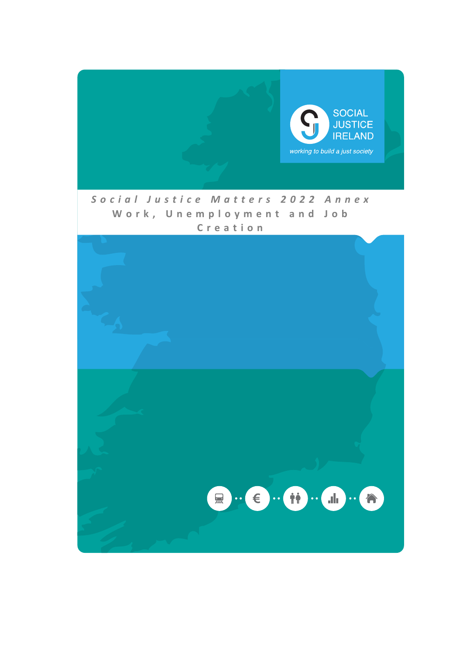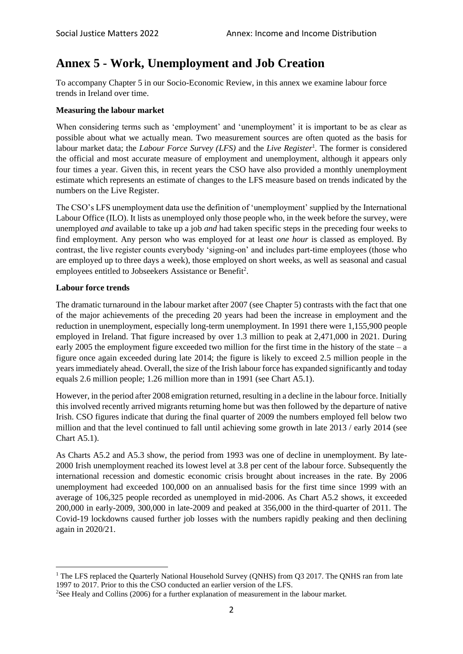# **Annex 5 - Work, Unemployment and Job Creation**

To accompany Chapter 5 in our Socio-Economic Review, in this annex we examine labour force trends in Ireland over time.

## **Measuring the labour market**

When considering terms such as 'employment' and 'unemployment' it is important to be as clear as possible about what we actually mean. Two measurement sources are often quoted as the basis for labour market data; the *Labour Force Survey (LFS)* and the *Live Register*<sup>1</sup> *.* The former is considered the official and most accurate measure of employment and unemployment, although it appears only four times a year. Given this, in recent years the CSO have also provided a monthly unemployment estimate which represents an estimate of changes to the LFS measure based on trends indicated by the numbers on the Live Register.

The CSO's LFS unemployment data use the definition of 'unemployment' supplied by the International Labour Office (ILO). It lists as unemployed only those people who, in the week before the survey, were unemployed *and* available to take up a job *and* had taken specific steps in the preceding four weeks to find employment. Any person who was employed for at least *one hour* is classed as employed. By contrast, the live register counts everybody 'signing-on' and includes part-time employees (those who are employed up to three days a week), those employed on short weeks, as well as seasonal and casual employees entitled to Jobseekers Assistance or Benefit<sup>2</sup>.

## **Labour force trends**

The dramatic turnaround in the labour market after 2007 (see Chapter 5) contrasts with the fact that one of the major achievements of the preceding 20 years had been the increase in employment and the reduction in unemployment, especially long-term unemployment. In 1991 there were 1,155,900 people employed in Ireland. That figure increased by over 1.3 million to peak at 2,471,000 in 2021. During early 2005 the employment figure exceeded two million for the first time in the history of the state – a figure once again exceeded during late 2014; the figure is likely to exceed 2.5 million people in the years immediately ahead. Overall, the size of the Irish labour force has expanded significantly and today equals 2.6 million people; 1.26 million more than in 1991 (see Chart A5.1).

However, in the period after 2008 emigration returned, resulting in a decline in the labour force. Initially this involved recently arrived migrants returning home but was then followed by the departure of native Irish. CSO figures indicate that during the final quarter of 2009 the numbers employed fell below two million and that the level continued to fall until achieving some growth in late 2013 / early 2014 (see Chart A5.1).

As Charts A5.2 and A5.3 show, the period from 1993 was one of decline in unemployment. By late-2000 Irish unemployment reached its lowest level at 3.8 per cent of the labour force. Subsequently the international recession and domestic economic crisis brought about increases in the rate. By 2006 unemployment had exceeded 100,000 on an annualised basis for the first time since 1999 with an average of 106,325 people recorded as unemployed in mid-2006. As Chart A5.2 shows, it exceeded 200,000 in early-2009, 300,000 in late-2009 and peaked at 356,000 in the third-quarter of 2011. The Covid-19 lockdowns caused further job losses with the numbers rapidly peaking and then declining again in 2020/21.

<sup>&</sup>lt;sup>1</sup> The LFS replaced the Quarterly National Household Survey (QNHS) from Q3 2017. The QNHS ran from late 1997 to 2017. Prior to this the CSO conducted an earlier version of the LFS.

<sup>2</sup>See Healy and Collins (2006) for a further explanation of measurement in the labour market.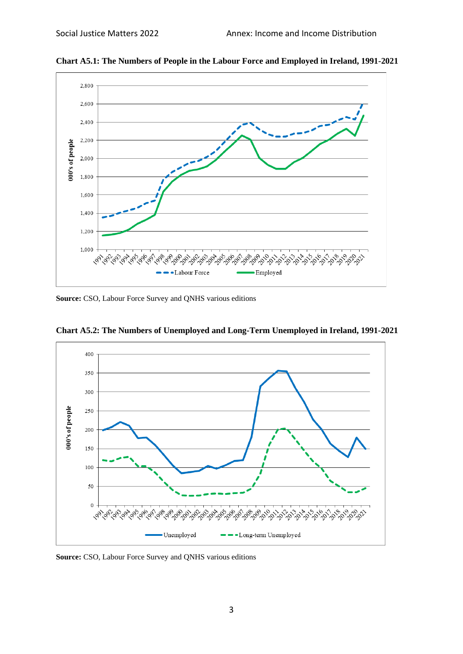

**Chart A5.1: The Numbers of People in the Labour Force and Employed in Ireland, 1991-2021**

**Source:** CSO, Labour Force Survey and QNHS various editions



**Chart A5.2: The Numbers of Unemployed and Long-Term Unemployed in Ireland, 1991-2021**

**Source:** CSO, Labour Force Survey and QNHS various editions